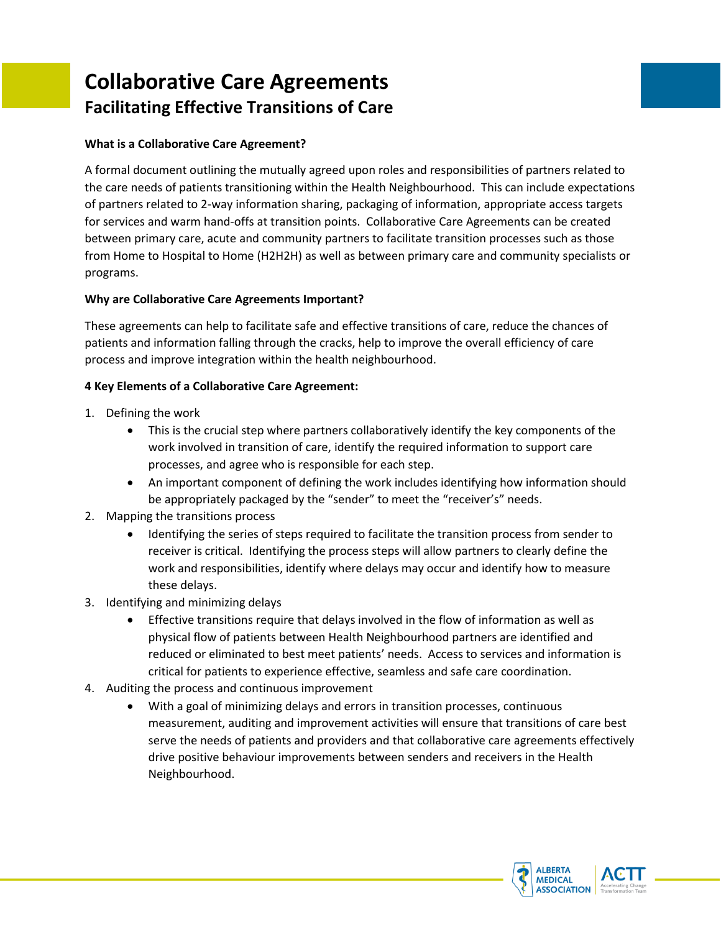# **Collaborative Care Agreements Facilitating Effective Transitions of Care**

#### **What is a Collaborative Care Agreement?**

A formal document outlining the mutually agreed upon roles and responsibilities of partners related to the care needs of patients transitioning within the Health Neighbourhood. This can include expectations of partners related to 2-way information sharing, packaging of information, appropriate access targets for services and warm hand-offs at transition points. Collaborative Care Agreements can be created between primary care, acute and community partners to facilitate transition processes such as those from Home to Hospital to Home (H2H2H) as well as between primary care and community specialists or programs.

#### **Why are Collaborative Care Agreements Important?**

These agreements can help to facilitate safe and effective transitions of care, reduce the chances of patients and information falling through the cracks, help to improve the overall efficiency of care process and improve integration within the health neighbourhood.

#### **4 Key Elements of a Collaborative Care Agreement:**

- 1. Defining the work
	- This is the crucial step where partners collaboratively identify the key components of the work involved in transition of care, identify the required information to support care processes, and agree who is responsible for each step.
	- An important component of defining the work includes identifying how information should be appropriately packaged by the "sender" to meet the "receiver's" needs.
- 2. Mapping the transitions process
	- Identifying the series of steps required to facilitate the transition process from sender to receiver is critical. Identifying the process steps will allow partners to clearly define the work and responsibilities, identify where delays may occur and identify how to measure these delays.
- 3. Identifying and minimizing delays
	- Effective transitions require that delays involved in the flow of information as well as physical flow of patients between Health Neighbourhood partners are identified and reduced or eliminated to best meet patients' needs. Access to services and information is critical for patients to experience effective, seamless and safe care coordination.
- 4. Auditing the process and continuous improvement
	- With a goal of minimizing delays and errors in transition processes, continuous measurement, auditing and improvement activities will ensure that transitions of care best serve the needs of patients and providers and that collaborative care agreements effectively drive positive behaviour improvements between senders and receivers in the Health Neighbourhood.